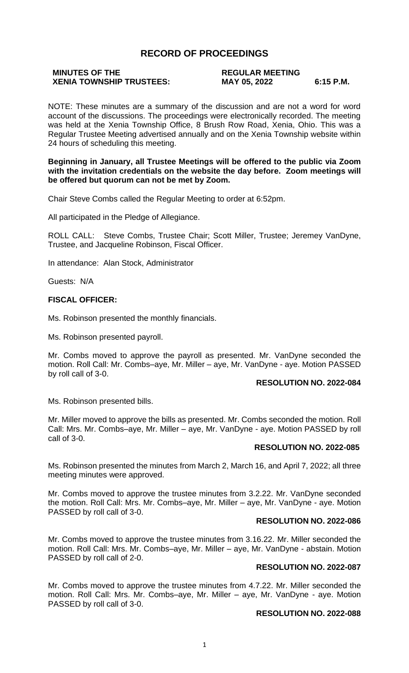# **RECORD OF PROCEEDINGS**

# **MINUTES OF THE REGULAR MEETING**

# **XENIA TOWNSHIP TRUSTEES: MAY 05, 2022 6:15 P.M.**

NOTE: These minutes are a summary of the discussion and are not a word for word account of the discussions. The proceedings were electronically recorded. The meeting was held at the Xenia Township Office, 8 Brush Row Road, Xenia, Ohio. This was a Regular Trustee Meeting advertised annually and on the Xenia Township website within 24 hours of scheduling this meeting.

#### **Beginning in January, all Trustee Meetings will be offered to the public via Zoom with the invitation credentials on the website the day before. Zoom meetings will be offered but quorum can not be met by Zoom.**

Chair Steve Combs called the Regular Meeting to order at 6:52pm.

All participated in the Pledge of Allegiance.

ROLL CALL: Steve Combs, Trustee Chair; Scott Miller, Trustee; Jeremey VanDyne, Trustee, and Jacqueline Robinson, Fiscal Officer.

In attendance: Alan Stock, Administrator

Guests: N/A

# **FISCAL OFFICER:**

Ms. Robinson presented the monthly financials.

Ms. Robinson presented payroll.

Mr. Combs moved to approve the payroll as presented. Mr. VanDyne seconded the motion. Roll Call: Mr. Combs–aye, Mr. Miller – aye, Mr. VanDyne - aye. Motion PASSED by roll call of 3-0.

# **RESOLUTION NO. 2022-084**

Ms. Robinson presented bills.

Mr. Miller moved to approve the bills as presented. Mr. Combs seconded the motion. Roll Call: Mrs. Mr. Combs–aye, Mr. Miller – aye, Mr. VanDyne - aye. Motion PASSED by roll call of 3-0.

# **RESOLUTION NO. 2022-085**

Ms. Robinson presented the minutes from March 2, March 16, and April 7, 2022; all three meeting minutes were approved.

Mr. Combs moved to approve the trustee minutes from 3.2.22. Mr. VanDyne seconded the motion. Roll Call: Mrs. Mr. Combs–aye, Mr. Miller – aye, Mr. VanDyne - aye. Motion PASSED by roll call of 3-0.

# **RESOLUTION NO. 2022-086**

Mr. Combs moved to approve the trustee minutes from 3.16.22. Mr. Miller seconded the motion. Roll Call: Mrs. Mr. Combs–aye, Mr. Miller – aye, Mr. VanDyne - abstain. Motion PASSED by roll call of 2-0.

#### **RESOLUTION NO. 2022-087**

Mr. Combs moved to approve the trustee minutes from 4.7.22. Mr. Miller seconded the motion. Roll Call: Mrs. Mr. Combs–aye, Mr. Miller – aye, Mr. VanDyne - aye. Motion PASSED by roll call of 3-0.

### **RESOLUTION NO. 2022-088**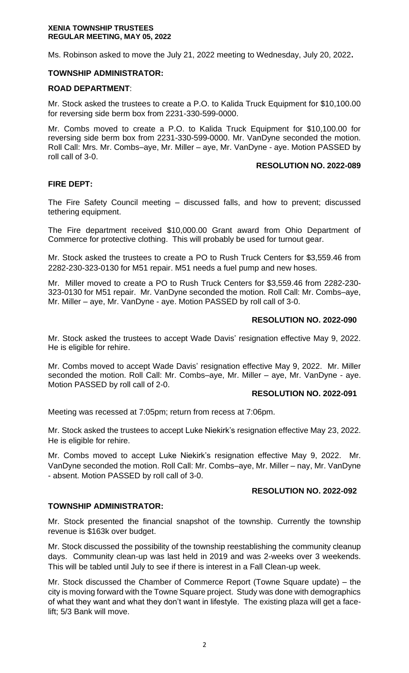Ms. Robinson asked to move the July 21, 2022 meeting to Wednesday, July 20, 2022**.**

# **TOWNSHIP ADMINISTRATOR:**

### **ROAD DEPARTMENT**:

Mr. Stock asked the trustees to create a P.O. to Kalida Truck Equipment for \$10,100.00 for reversing side berm box from 2231-330-599-0000.

Mr. Combs moved to create a P.O. to Kalida Truck Equipment for \$10,100.00 for reversing side berm box from 2231-330-599-0000. Mr. VanDyne seconded the motion. Roll Call: Mrs. Mr. Combs–aye, Mr. Miller – aye, Mr. VanDyne - aye. Motion PASSED by roll call of 3-0.

#### **RESOLUTION NO. 2022-089**

# **FIRE DEPT:**

The Fire Safety Council meeting – discussed falls, and how to prevent; discussed tethering equipment.

The Fire department received \$10,000.00 Grant award from Ohio Department of Commerce for protective clothing. This will probably be used for turnout gear.

Mr. Stock asked the trustees to create a PO to Rush Truck Centers for \$3,559.46 from 2282-230-323-0130 for M51 repair. M51 needs a fuel pump and new hoses.

Mr. Miller moved to create a PO to Rush Truck Centers for \$3,559.46 from 2282-230- 323-0130 for M51 repair. Mr. VanDyne seconded the motion. Roll Call: Mr. Combs–aye, Mr. Miller – aye, Mr. VanDyne - aye. Motion PASSED by roll call of 3-0.

# **RESOLUTION NO. 2022-090**

Mr. Stock asked the trustees to accept Wade Davis' resignation effective May 9, 2022. He is eligible for rehire.

Mr. Combs moved to accept Wade Davis' resignation effective May 9, 2022. Mr. Miller seconded the motion. Roll Call: Mr. Combs–aye, Mr. Miller – aye, Mr. VanDyne - aye. Motion PASSED by roll call of 2-0.

# **RESOLUTION NO. 2022-091**

Meeting was recessed at 7:05pm; return from recess at 7:06pm.

Mr. Stock asked the trustees to accept Luke Niekirk's resignation effective May 23, 2022. He is eligible for rehire.

Mr. Combs moved to accept Luke Niekirk's resignation effective May 9, 2022. Mr. VanDyne seconded the motion. Roll Call: Mr. Combs–aye, Mr. Miller – nay, Mr. VanDyne - absent. Motion PASSED by roll call of 3-0.

#### **RESOLUTION NO. 2022-092**

# **TOWNSHIP ADMINISTRATOR:**

Mr. Stock presented the financial snapshot of the township. Currently the township revenue is \$163k over budget.

Mr. Stock discussed the possibility of the township reestablishing the community cleanup days. Community clean-up was last held in 2019 and was 2-weeks over 3 weekends. This will be tabled until July to see if there is interest in a Fall Clean-up week.

Mr. Stock discussed the Chamber of Commerce Report (Towne Square update) – the city is moving forward with the Towne Square project. Study was done with demographics of what they want and what they don't want in lifestyle. The existing plaza will get a facelift; 5/3 Bank will move.